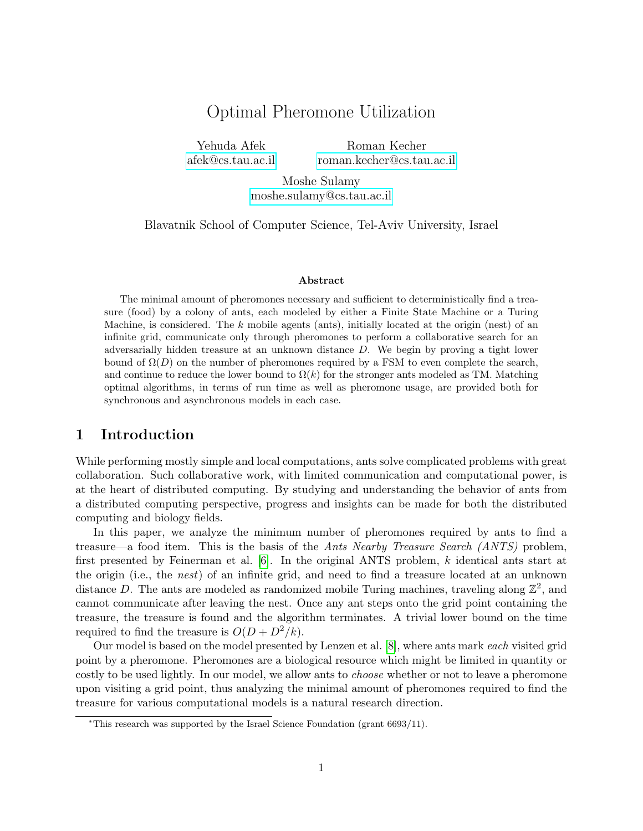# Optimal Pheromone Utilization

Yehuda Afek [afek@cs.tau.ac.il](mailto:afek@cs.tau.ac.il)

Roman Kecher [roman.kecher@cs.tau.ac.il](mailto:roman.kecher@cs.tau.ac.il)

Moshe Sulamy [moshe.sulamy@cs.tau.ac.il](mailto:moshe.sulamy@cs.tau.ac.il)

Blavatnik School of Computer Science, Tel-Aviv University, Israel

#### Abstract

The minimal amount of pheromones necessary and sufficient to deterministically find a treasure (food) by a colony of ants, each modeled by either a Finite State Machine or a Turing Machine, is considered. The  $k$  mobile agents (ants), initially located at the origin (nest) of an infinite grid, communicate only through pheromones to perform a collaborative search for an adversarially hidden treasure at an unknown distance D. We begin by proving a tight lower bound of  $\Omega(D)$  on the number of pheromones required by a FSM to even complete the search, and continue to reduce the lower bound to  $\Omega(k)$  for the stronger ants modeled as TM. Matching optimal algorithms, in terms of run time as well as pheromone usage, are provided both for synchronous and asynchronous models in each case.

# 1 Introduction

While performing mostly simple and local computations, ants solve complicated problems with great collaboration. Such collaborative work, with limited communication and computational power, is at the heart of distributed computing. By studying and understanding the behavior of ants from a distributed computing perspective, progress and insights can be made for both the distributed computing and biology fields.

In this paper, we analyze the minimum number of pheromones required by ants to find a treasure—a food item. This is the basis of the Ants Nearby Treasure Search (ANTS) problem, first presented by Feinerman et al. [\[6\]](#page-13-0). In the original ANTS problem, k identical ants start at the origin (i.e., the nest) of an infinite grid, and need to find a treasure located at an unknown distance D. The ants are modeled as randomized mobile Turing machines, traveling along  $\mathbb{Z}^2$ , and cannot communicate after leaving the nest. Once any ant steps onto the grid point containing the treasure, the treasure is found and the algorithm terminates. A trivial lower bound on the time required to find the treasure is  $O(D + D^2/k)$ .

Our model is based on the model presented by Lenzen et al. [\[8\]](#page-13-1), where ants mark each visited grid point by a pheromone. Pheromones are a biological resource which might be limited in quantity or costly to be used lightly. In our model, we allow ants to *choose* whether or not to leave a pheromone upon visiting a grid point, thus analyzing the minimal amount of pheromones required to find the treasure for various computational models is a natural research direction.

<sup>∗</sup>This research was supported by the Israel Science Foundation (grant 6693/11).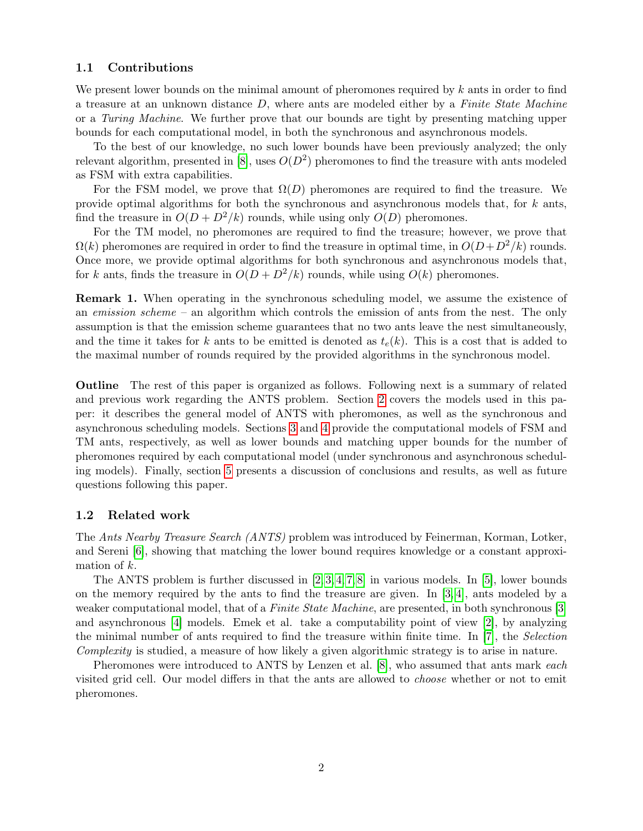# 1.1 Contributions

We present lower bounds on the minimal amount of pheromones required by  $k$  ants in order to find a treasure at an unknown distance  $D$ , where ants are modeled either by a Finite State Machine or a Turing Machine. We further prove that our bounds are tight by presenting matching upper bounds for each computational model, in both the synchronous and asynchronous models.

To the best of our knowledge, no such lower bounds have been previously analyzed; the only relevant algorithm, presented in [\[8\]](#page-13-1), uses  $O(D^2)$  pheromones to find the treasure with ants modeled as FSM with extra capabilities.

For the FSM model, we prove that  $\Omega(D)$  pheromones are required to find the treasure. We provide optimal algorithms for both the synchronous and asynchronous models that, for  $k$  ants, find the treasure in  $O(D + D^2/k)$  rounds, while using only  $O(D)$  pheromones.

For the TM model, no pheromones are required to find the treasure; however, we prove that  $\Omega(k)$  pheromones are required in order to find the treasure in optimal time, in  $O(D+D^2/k)$  rounds. Once more, we provide optimal algorithms for both synchronous and asynchronous models that, for k ants, finds the treasure in  $O(D + D^2/k)$  rounds, while using  $O(k)$  pheromones.

**Remark 1.** When operating in the synchronous scheduling model, we assume the existence of an emission scheme – an algorithm which controls the emission of ants from the nest. The only assumption is that the emission scheme guarantees that no two ants leave the nest simultaneously, and the time it takes for k ants to be emitted is denoted as  $t_e(k)$ . This is a cost that is added to the maximal number of rounds required by the provided algorithms in the synchronous model.

Outline The rest of this paper is organized as follows. Following next is a summary of related and previous work regarding the ANTS problem. Section [2](#page-2-0) covers the models used in this paper: it describes the general model of ANTS with pheromones, as well as the synchronous and asynchronous scheduling models. Sections [3](#page-3-0) and [4](#page-8-0) provide the computational models of FSM and TM ants, respectively, as well as lower bounds and matching upper bounds for the number of pheromones required by each computational model (under synchronous and asynchronous scheduling models). Finally, section [5](#page-12-0) presents a discussion of conclusions and results, as well as future questions following this paper.

## 1.2 Related work

The Ants Nearby Treasure Search (ANTS) problem was introduced by Feinerman, Korman, Lotker, and Sereni [\[6\]](#page-13-0), showing that matching the lower bound requires knowledge or a constant approximation of k.

The ANTS problem is further discussed in  $[2, 3, 4, 7, 8]$  $[2, 3, 4, 7, 8]$  $[2, 3, 4, 7, 8]$  $[2, 3, 4, 7, 8]$  $[2, 3, 4, 7, 8]$  in various models. In [\[5\]](#page-13-6), lower bounds on the memory required by the ants to find the treasure are given. In  $[3, 4]$  $[3, 4]$ , ants modeled by a weaker computational model, that of a Finite State Machine, are presented, in both synchronous [\[3\]](#page-13-3) and asynchronous [\[4\]](#page-13-4) models. Emek et al. take a computability point of view [\[2\]](#page-13-2), by analyzing the minimal number of ants required to find the treasure within finite time. In [\[7\]](#page-13-5), the Selection Complexity is studied, a measure of how likely a given algorithmic strategy is to arise in nature.

Pheromones were introduced to ANTS by Lenzen et al. [\[8\]](#page-13-1), who assumed that ants mark *each* visited grid cell. Our model differs in that the ants are allowed to choose whether or not to emit pheromones.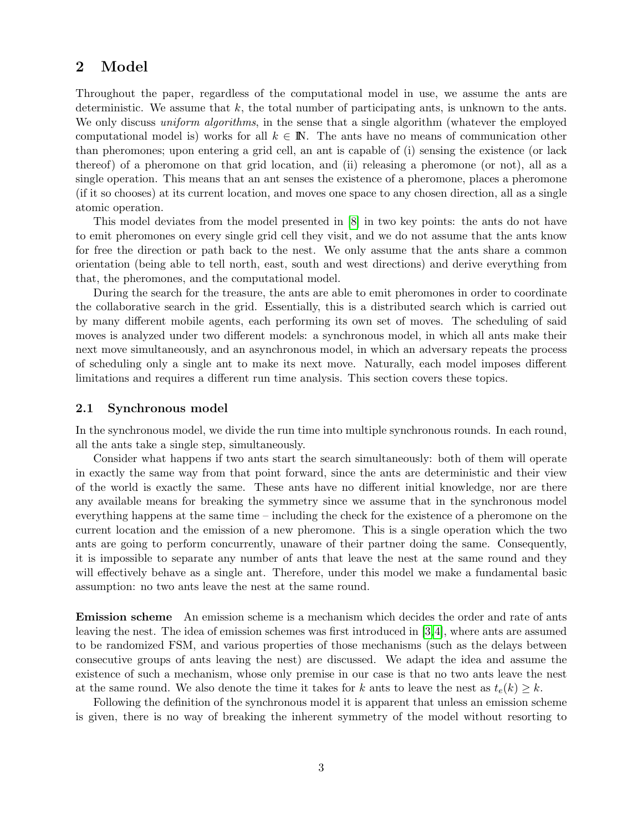# <span id="page-2-0"></span>2 Model

Throughout the paper, regardless of the computational model in use, we assume the ants are deterministic. We assume that  $k$ , the total number of participating ants, is unknown to the ants. We only discuss *uniform algorithms*, in the sense that a single algorithm (whatever the employed computational model is) works for all  $k \in \mathbb{N}$ . The ants have no means of communication other than pheromones; upon entering a grid cell, an ant is capable of (i) sensing the existence (or lack thereof) of a pheromone on that grid location, and (ii) releasing a pheromone (or not), all as a single operation. This means that an ant senses the existence of a pheromone, places a pheromone (if it so chooses) at its current location, and moves one space to any chosen direction, all as a single atomic operation.

This model deviates from the model presented in [\[8\]](#page-13-1) in two key points: the ants do not have to emit pheromones on every single grid cell they visit, and we do not assume that the ants know for free the direction or path back to the nest. We only assume that the ants share a common orientation (being able to tell north, east, south and west directions) and derive everything from that, the pheromones, and the computational model.

During the search for the treasure, the ants are able to emit pheromones in order to coordinate the collaborative search in the grid. Essentially, this is a distributed search which is carried out by many different mobile agents, each performing its own set of moves. The scheduling of said moves is analyzed under two different models: a synchronous model, in which all ants make their next move simultaneously, and an asynchronous model, in which an adversary repeats the process of scheduling only a single ant to make its next move. Naturally, each model imposes different limitations and requires a different run time analysis. This section covers these topics.

## 2.1 Synchronous model

In the synchronous model, we divide the run time into multiple synchronous rounds. In each round, all the ants take a single step, simultaneously.

Consider what happens if two ants start the search simultaneously: both of them will operate in exactly the same way from that point forward, since the ants are deterministic and their view of the world is exactly the same. These ants have no different initial knowledge, nor are there any available means for breaking the symmetry since we assume that in the synchronous model everything happens at the same time – including the check for the existence of a pheromone on the current location and the emission of a new pheromone. This is a single operation which the two ants are going to perform concurrently, unaware of their partner doing the same. Consequently, it is impossible to separate any number of ants that leave the nest at the same round and they will effectively behave as a single ant. Therefore, under this model we make a fundamental basic assumption: no two ants leave the nest at the same round.

Emission scheme An emission scheme is a mechanism which decides the order and rate of ants leaving the nest. The idea of emission schemes was first introduced in [\[3,](#page-13-3)[4\]](#page-13-4), where ants are assumed to be randomized FSM, and various properties of those mechanisms (such as the delays between consecutive groups of ants leaving the nest) are discussed. We adapt the idea and assume the existence of such a mechanism, whose only premise in our case is that no two ants leave the nest at the same round. We also denote the time it takes for k ants to leave the nest as  $t_e(k) \geq k$ .

Following the definition of the synchronous model it is apparent that unless an emission scheme is given, there is no way of breaking the inherent symmetry of the model without resorting to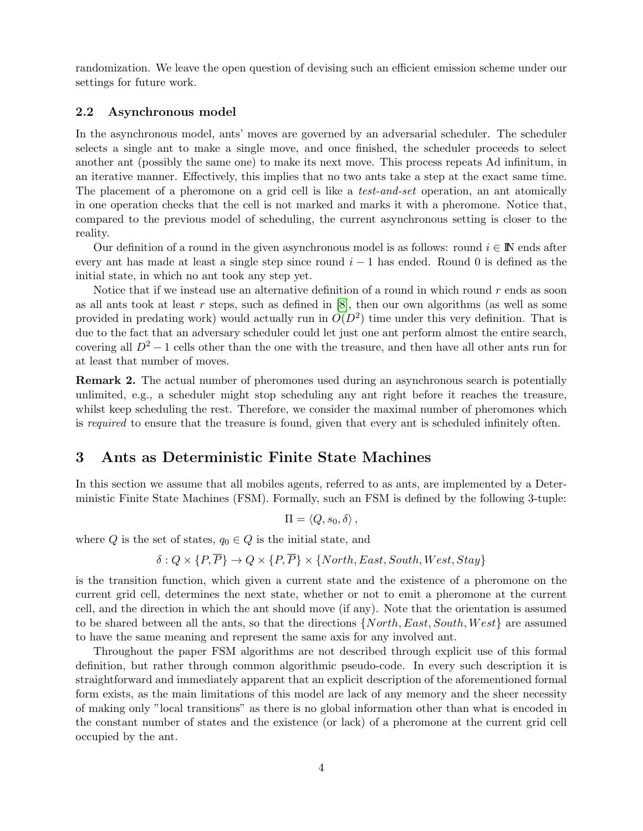randomization. We leave the open question of devising such an efficient emission scheme under our settings for future work.

# 2.2 Asynchronous model

In the asynchronous model, ants' moves are governed by an adversarial scheduler. The scheduler selects a single ant to make a single move, and once finished, the scheduler proceeds to select another ant (possibly the same one) to make its next move. This process repeats Ad infinitum, in an iterative manner. Effectively, this implies that no two ants take a step at the exact same time. The placement of a pheromone on a grid cell is like a *test-and-set* operation, an ant atomically in one operation checks that the cell is not marked and marks it with a pheromone. Notice that, compared to the previous model of scheduling, the current asynchronous setting is closer to the reality.

Our definition of a round in the given asynchronous model is as follows: round  $i \in \mathbb{N}$  ends after every ant has made at least a single step since round  $i - 1$  has ended. Round 0 is defined as the initial state, in which no ant took any step yet.

Notice that if we instead use an alternative definition of a round in which round  $r$  ends as soon as all ants took at least r steps, such as defined in  $[8]$ , then our own algorithms (as well as some provided in predating work) would actually run in  $O(D^2)$  time under this very definition. That is due to the fact that an adversary scheduler could let just one ant perform almost the entire search, covering all  $D^2 - 1$  cells other than the one with the treasure, and then have all other ants run for at least that number of moves.

Remark 2. The actual number of pheromones used during an asynchronous search is potentially unlimited, e.g., a scheduler might stop scheduling any ant right before it reaches the treasure, whilst keep scheduling the rest. Therefore, we consider the maximal number of pheromones which is required to ensure that the treasure is found, given that every ant is scheduled infinitely often.

# <span id="page-3-0"></span>3 Ants as Deterministic Finite State Machines

In this section we assume that all mobiles agents, referred to as ants, are implemented by a Deterministic Finite State Machines (FSM). Formally, such an FSM is defined by the following 3-tuple:

$$
\Pi = \langle Q, s_0, \delta \rangle \, ,
$$

where Q is the set of states,  $q_0 \in Q$  is the initial state, and

$$
\delta: Q \times \{P, \overline{P}\} \rightarrow Q \times \{P, \overline{P}\} \times \{North, East, South, West, Stay\}
$$

is the transition function, which given a current state and the existence of a pheromone on the current grid cell, determines the next state, whether or not to emit a pheromone at the current cell, and the direction in which the ant should move (if any). Note that the orientation is assumed to be shared between all the ants, so that the directions  $\{North, East, South, West\}$  are assumed to have the same meaning and represent the same axis for any involved ant.

Throughout the paper FSM algorithms are not described through explicit use of this formal definition, but rather through common algorithmic pseudo-code. In every such description it is straightforward and immediately apparent that an explicit description of the aforementioned formal form exists, as the main limitations of this model are lack of any memory and the sheer necessity of making only "local transitions" as there is no global information other than what is encoded in the constant number of states and the existence (or lack) of a pheromone at the current grid cell occupied by the ant.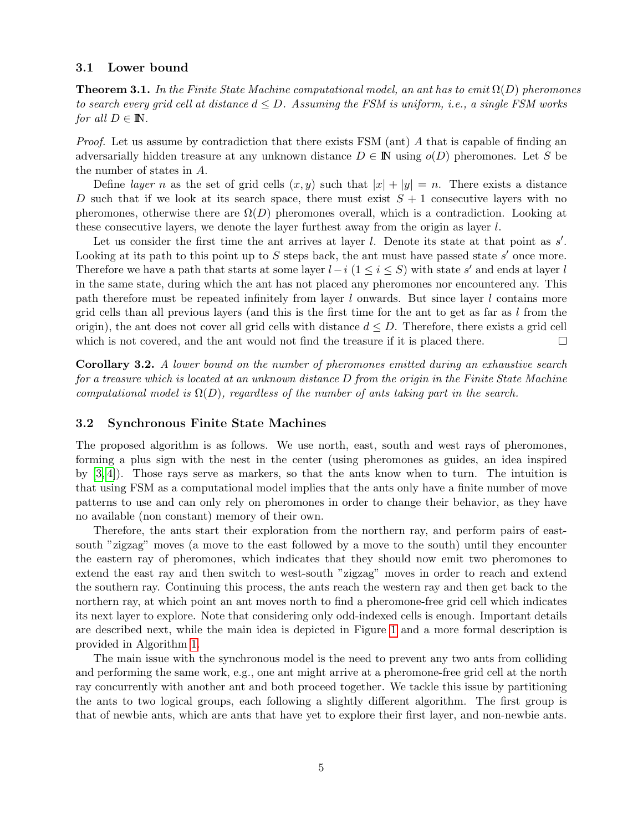### 3.1 Lower bound

**Theorem 3.1.** In the Finite State Machine computational model, an ant has to emit  $\Omega(D)$  pheromones to search every grid cell at distance  $d \leq D$ . Assuming the FSM is uniform, i.e., a single FSM works for all  $D \in \mathbb{N}$ .

*Proof.* Let us assume by contradiction that there exists FSM (ant)  $\tilde{A}$  that is capable of finding an adversarially hidden treasure at any unknown distance  $D \in \mathbb{N}$  using  $o(D)$  pheromones. Let S be the number of states in A.

Define *layer* n as the set of grid cells  $(x, y)$  such that  $|x| + |y| = n$ . There exists a distance D such that if we look at its search space, there must exist  $S + 1$  consecutive layers with no pheromones, otherwise there are  $\Omega(D)$  pheromones overall, which is a contradiction. Looking at these consecutive layers, we denote the layer furthest away from the origin as layer  $l$ .

Let us consider the first time the ant arrives at layer  $l$ . Denote its state at that point as  $s'$ . Looking at its path to this point up to  $S$  steps back, the ant must have passed state  $s'$  once more. Therefore we have a path that starts at some layer  $l-i$  ( $1 \leq i \leq S$ ) with state s' and ends at layer l in the same state, during which the ant has not placed any pheromones nor encountered any. This path therefore must be repeated infinitely from layer l onwards. But since layer l contains more grid cells than all previous layers (and this is the first time for the ant to get as far as  $l$  from the origin), the ant does not cover all grid cells with distance  $d \leq D$ . Therefore, there exists a grid cell which is not covered, and the ant would not find the treasure if it is placed there.  $\Box$ 

Corollary 3.2. A lower bound on the number of pheromones emitted during an exhaustive search for a treasure which is located at an unknown distance D from the origin in the Finite State Machine computational model is  $\Omega(D)$ , regardless of the number of ants taking part in the search.

## 3.2 Synchronous Finite State Machines

The proposed algorithm is as follows. We use north, east, south and west rays of pheromones, forming a plus sign with the nest in the center (using pheromones as guides, an idea inspired by [\[3,](#page-13-3) [4\]](#page-13-4)). Those rays serve as markers, so that the ants know when to turn. The intuition is that using FSM as a computational model implies that the ants only have a finite number of move patterns to use and can only rely on pheromones in order to change their behavior, as they have no available (non constant) memory of their own.

Therefore, the ants start their exploration from the northern ray, and perform pairs of eastsouth "zigzag" moves (a move to the east followed by a move to the south) until they encounter the eastern ray of pheromones, which indicates that they should now emit two pheromones to extend the east ray and then switch to west-south "zigzag" moves in order to reach and extend the southern ray. Continuing this process, the ants reach the western ray and then get back to the northern ray, at which point an ant moves north to find a pheromone-free grid cell which indicates its next layer to explore. Note that considering only odd-indexed cells is enough. Important details are described next, while the main idea is depicted in Figure [1](#page-5-0) and a more formal description is provided in Algorithm [1.](#page-6-0)

The main issue with the synchronous model is the need to prevent any two ants from colliding and performing the same work, e.g., one ant might arrive at a pheromone-free grid cell at the north ray concurrently with another ant and both proceed together. We tackle this issue by partitioning the ants to two logical groups, each following a slightly different algorithm. The first group is that of newbie ants, which are ants that have yet to explore their first layer, and non-newbie ants.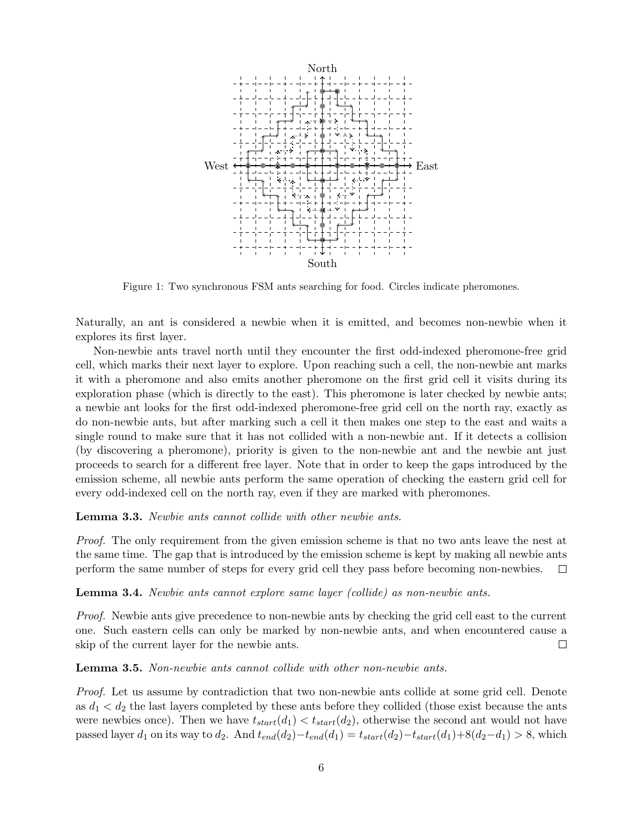<span id="page-5-0"></span>

Figure 1: Two synchronous FSM ants searching for food. Circles indicate pheromones.

Naturally, an ant is considered a newbie when it is emitted, and becomes non-newbie when it explores its first layer.

Non-newbie ants travel north until they encounter the first odd-indexed pheromone-free grid cell, which marks their next layer to explore. Upon reaching such a cell, the non-newbie ant marks it with a pheromone and also emits another pheromone on the first grid cell it visits during its exploration phase (which is directly to the east). This pheromone is later checked by newbie ants; a newbie ant looks for the first odd-indexed pheromone-free grid cell on the north ray, exactly as do non-newbie ants, but after marking such a cell it then makes one step to the east and waits a single round to make sure that it has not collided with a non-newbie ant. If it detects a collision (by discovering a pheromone), priority is given to the non-newbie ant and the newbie ant just proceeds to search for a different free layer. Note that in order to keep the gaps introduced by the emission scheme, all newbie ants perform the same operation of checking the eastern grid cell for every odd-indexed cell on the north ray, even if they are marked with pheromones.

<span id="page-5-1"></span>Lemma 3.3. Newbie ants cannot collide with other newbie ants.

Proof. The only requirement from the given emission scheme is that no two ants leave the nest at the same time. The gap that is introduced by the emission scheme is kept by making all newbie ants perform the same number of steps for every grid cell they pass before becoming non-newbies.  $\Box$ 

<span id="page-5-2"></span>Lemma 3.4. Newbie ants cannot explore same layer (collide) as non-newbie ants.

Proof. Newbie ants give precedence to non-newbie ants by checking the grid cell east to the current one. Such eastern cells can only be marked by non-newbie ants, and when encountered cause a skip of the current layer for the newbie ants.  $\Box$ 

<span id="page-5-3"></span>Lemma 3.5. Non-newbie ants cannot collide with other non-newbie ants.

Proof. Let us assume by contradiction that two non-newbie ants collide at some grid cell. Denote as  $d_1 < d_2$  the last layers completed by these ants before they collided (those exist because the ants were newbies once). Then we have  $t_{start}(d_1) < t_{start}(d_2)$ , otherwise the second ant would not have passed layer  $d_1$  on its way to  $d_2$ . And  $t_{end}(d_2)-t_{end}(d_1) = t_{start}(d_2)-t_{start}(d_1)+8(d_2-d_1) > 8$ , which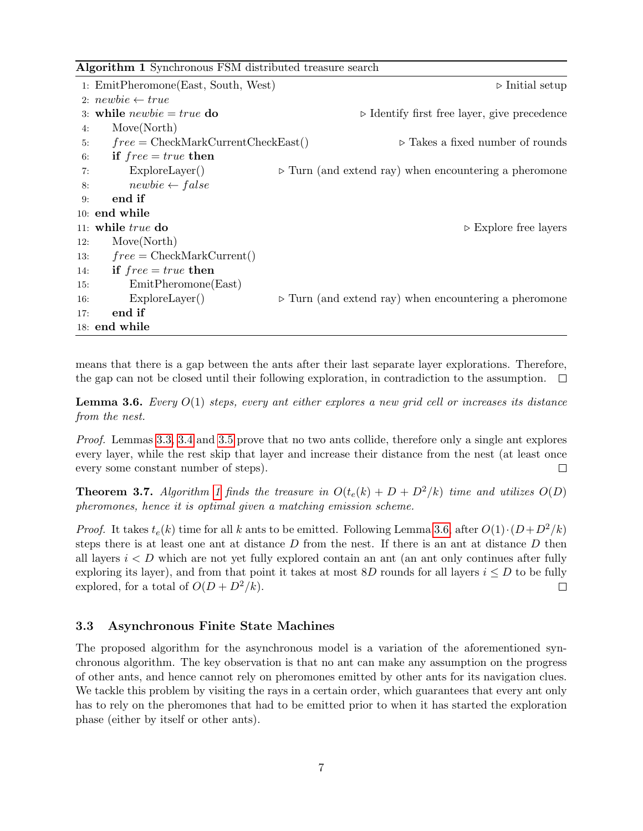<span id="page-6-0"></span>Algorithm 1 Synchronous FSM distributed treasure search

| 1: EmitPheromone(East, South, West)        | $\triangleright$ Initial setup                                       |
|--------------------------------------------|----------------------------------------------------------------------|
| 2: $newbie \leftarrow true$                |                                                                      |
| 3: while $newbie = true$ do                | $\triangleright$ Identify first free layer, give precedence          |
| Move(North)<br>4:                          |                                                                      |
| $free = CheckMarkCurrentCheckEast()$<br>5: | $\triangleright$ Takes a fixed number of rounds                      |
| if $free = true$ then<br>6:                |                                                                      |
| ExploreLayer()<br>7:                       | $\triangleright$ Turn (and extend ray) when encountering a pheromone |
| $newbie \leftarrow false$<br>8:            |                                                                      |
| end if<br>9:                               |                                                                      |
| $10:$ end while                            |                                                                      |
| 11: while $true$ do                        | $\triangleright$ Explore free layers                                 |
| Move(North)<br>12:                         |                                                                      |
| $free = CheckMarkCurrent()$<br>13:         |                                                                      |
| if $free = true$ then<br>14:               |                                                                      |
| EmitPheromone(East)<br>15:                 |                                                                      |
| ExploreLayer()<br>16:                      | $\triangleright$ Turn (and extend ray) when encountering a pheromone |
| end if<br>17:                              |                                                                      |
| $18:$ end while                            |                                                                      |

means that there is a gap between the ants after their last separate layer explorations. Therefore, the gap can not be closed until their following exploration, in contradiction to the assumption.  $\Box$ 

<span id="page-6-1"></span>**Lemma 3.6.** Every  $O(1)$  steps, every ant either explores a new grid cell or increases its distance from the nest.

Proof. Lemmas [3.3,](#page-5-1) [3.4](#page-5-2) and [3.5](#page-5-3) prove that no two ants collide, therefore only a single ant explores every layer, while the rest skip that layer and increase their distance from the nest (at least once every some constant number of steps).  $\Box$ 

**Theorem 3.7.** Algorithm [1](#page-6-0) finds the treasure in  $O(t_e(k) + D + D^2/k)$  time and utilizes  $O(D)$ pheromones, hence it is optimal given a matching emission scheme.

*Proof.* It takes  $t_e(k)$  time for all k ants to be emitted. Following Lemma [3.6,](#page-6-1) after  $O(1) \cdot (D+D^2/k)$ steps there is at least one ant at distance  $D$  from the nest. If there is an ant at distance  $D$  then all layers  $i < D$  which are not yet fully explored contain an ant (an ant only continues after fully exploring its layer), and from that point it takes at most 8D rounds for all layers  $i \leq D$  to be fully explored, for a total of  $O(D + D^2/k)$ .  $\Box$ 

# 3.3 Asynchronous Finite State Machines

The proposed algorithm for the asynchronous model is a variation of the aforementioned synchronous algorithm. The key observation is that no ant can make any assumption on the progress of other ants, and hence cannot rely on pheromones emitted by other ants for its navigation clues. We tackle this problem by visiting the rays in a certain order, which guarantees that every ant only has to rely on the pheromones that had to be emitted prior to when it has started the exploration phase (either by itself or other ants).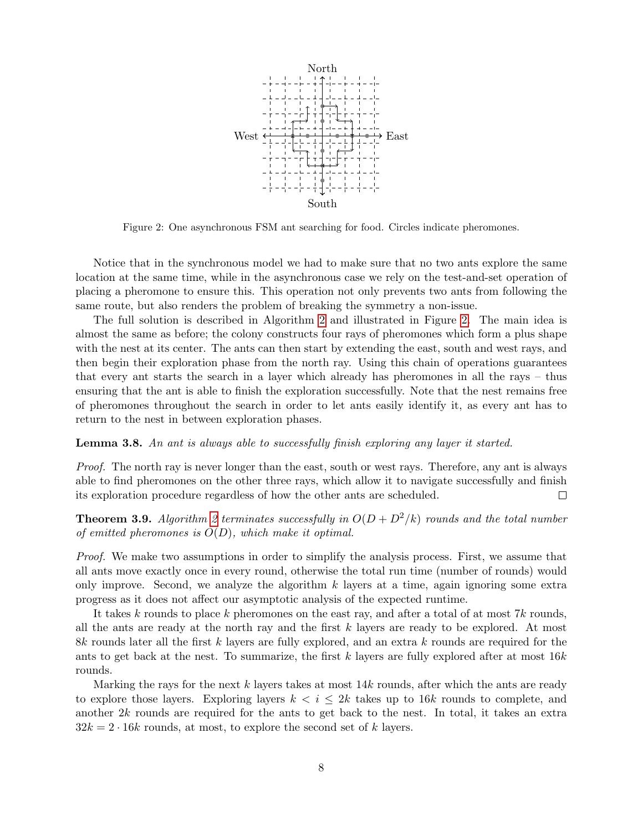<span id="page-7-0"></span>

Figure 2: One asynchronous FSM ant searching for food. Circles indicate pheromones.

Notice that in the synchronous model we had to make sure that no two ants explore the same location at the same time, while in the asynchronous case we rely on the test-and-set operation of placing a pheromone to ensure this. This operation not only prevents two ants from following the same route, but also renders the problem of breaking the symmetry a non-issue.

The full solution is described in Algorithm [2](#page-8-1) and illustrated in Figure [2.](#page-7-0) The main idea is almost the same as before; the colony constructs four rays of pheromones which form a plus shape with the nest at its center. The ants can then start by extending the east, south and west rays, and then begin their exploration phase from the north ray. Using this chain of operations guarantees that every ant starts the search in a layer which already has pheromones in all the rays – thus ensuring that the ant is able to finish the exploration successfully. Note that the nest remains free of pheromones throughout the search in order to let ants easily identify it, as every ant has to return to the nest in between exploration phases.

# Lemma 3.8. An ant is always able to successfully finish exploring any layer it started.

Proof. The north ray is never longer than the east, south or west rays. Therefore, any ant is always able to find pheromones on the other three rays, which allow it to navigate successfully and finish its exploration procedure regardless of how the other ants are scheduled.  $\Box$ 

**Theorem 3.9.** Algorithm [2](#page-8-1) terminates successfully in  $O(D + D^2/k)$  rounds and the total number of emitted pheromones is  $O(D)$ , which make it optimal.

Proof. We make two assumptions in order to simplify the analysis process. First, we assume that all ants move exactly once in every round, otherwise the total run time (number of rounds) would only improve. Second, we analyze the algorithm  $k$  layers at a time, again ignoring some extra progress as it does not affect our asymptotic analysis of the expected runtime.

It takes k rounds to place k pheromones on the east ray, and after a total of at most  $7k$  rounds, all the ants are ready at the north ray and the first k layers are ready to be explored. At most 8k rounds later all the first k layers are fully explored, and an extra k rounds are required for the ants to get back at the nest. To summarize, the first  $k$  layers are fully explored after at most  $16k$ rounds.

Marking the rays for the next k layers takes at most  $14k$  rounds, after which the ants are ready to explore those layers. Exploring layers  $k < i \leq 2k$  takes up to 16k rounds to complete, and another 2k rounds are required for the ants to get back to the nest. In total, it takes an extra  $32k = 2 \cdot 16k$  rounds, at most, to explore the second set of k layers.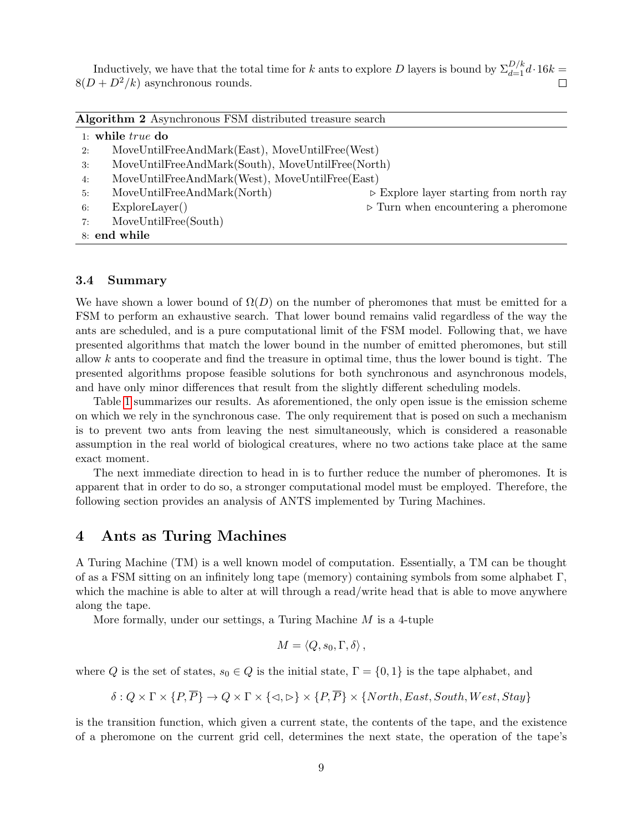Inductively, we have that the total time for k ants to explore D layers is bound by  $\Sigma_{d=1}^{D/k} d \cdot 16k =$  $8(D + D^2/k)$  asynchronous rounds.

<span id="page-8-1"></span>

|  |  | Algorithm 2 Asynchronous FSM distributed treasure search |  |
|--|--|----------------------------------------------------------|--|
|--|--|----------------------------------------------------------|--|

|    | 1: while $true$ do                                |                                                        |  |  |
|----|---------------------------------------------------|--------------------------------------------------------|--|--|
| 2: | MoveUntilFreeAndMark(East), MoveUntilFree(West)   |                                                        |  |  |
| 3: | MoveUntilFreeAndMark(South), MoveUntilFree(North) |                                                        |  |  |
| 4: | MoveUntilFreeAndMark(West), MoveUntilFree(East)   |                                                        |  |  |
| 5: | MoveUntilFreeAndMark(North)                       | $\triangleright$ Explore layer starting from north ray |  |  |
| 6: | ExploreLayer()                                    | $\triangleright$ Turn when encountering a pheromone    |  |  |
| 7: | MoveUntilFree(South)                              |                                                        |  |  |
|    | 8: end while                                      |                                                        |  |  |

# 3.4 Summary

We have shown a lower bound of  $\Omega(D)$  on the number of pheromones that must be emitted for a FSM to perform an exhaustive search. That lower bound remains valid regardless of the way the ants are scheduled, and is a pure computational limit of the FSM model. Following that, we have presented algorithms that match the lower bound in the number of emitted pheromones, but still allow  $k$  ants to cooperate and find the treasure in optimal time, thus the lower bound is tight. The presented algorithms propose feasible solutions for both synchronous and asynchronous models, and have only minor differences that result from the slightly different scheduling models.

Table [1](#page-12-1) summarizes our results. As aforementioned, the only open issue is the emission scheme on which we rely in the synchronous case. The only requirement that is posed on such a mechanism is to prevent two ants from leaving the nest simultaneously, which is considered a reasonable assumption in the real world of biological creatures, where no two actions take place at the same exact moment.

The next immediate direction to head in is to further reduce the number of pheromones. It is apparent that in order to do so, a stronger computational model must be employed. Therefore, the following section provides an analysis of ANTS implemented by Turing Machines.

# <span id="page-8-0"></span>4 Ants as Turing Machines

A Turing Machine (TM) is a well known model of computation. Essentially, a TM can be thought of as a FSM sitting on an infinitely long tape (memory) containing symbols from some alphabet Γ, which the machine is able to alter at will through a read/write head that is able to move anywhere along the tape.

More formally, under our settings, a Turing Machine  $M$  is a 4-tuple

$$
M = \langle Q, s_0, \Gamma, \delta \rangle \, ,
$$

where Q is the set of states,  $s_0 \in Q$  is the initial state,  $\Gamma = \{0, 1\}$  is the tape alphabet, and

$$
\delta: Q \times \Gamma \times \{P, \overline{P}\} \to Q \times \Gamma \times \{\lhd, \rhd\} \times \{P, \overline{P}\} \times \{North, East, South, West,Stay\}
$$

is the transition function, which given a current state, the contents of the tape, and the existence of a pheromone on the current grid cell, determines the next state, the operation of the tape's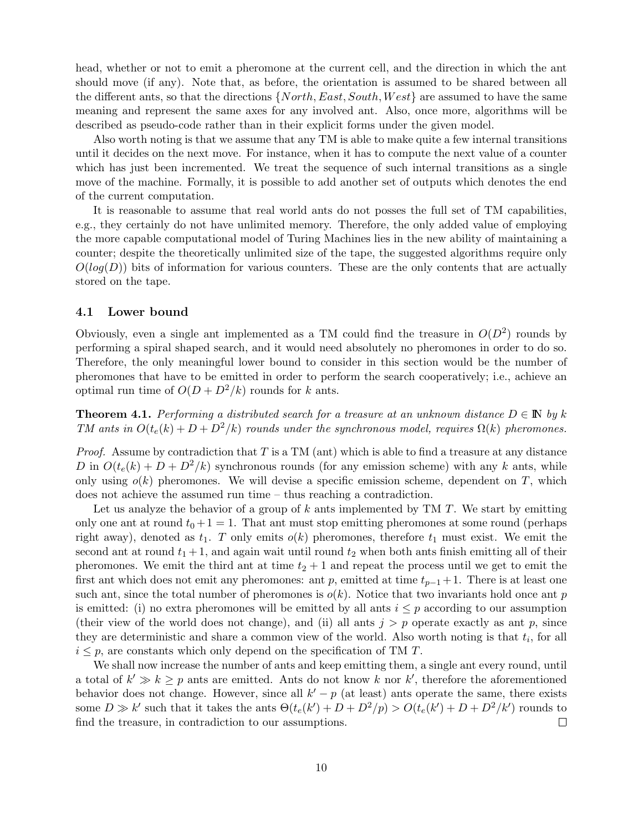head, whether or not to emit a pheromone at the current cell, and the direction in which the ant should move (if any). Note that, as before, the orientation is assumed to be shared between all the different ants, so that the directions  $\{North, East, South, West\}$  are assumed to have the same meaning and represent the same axes for any involved ant. Also, once more, algorithms will be described as pseudo-code rather than in their explicit forms under the given model.

Also worth noting is that we assume that any TM is able to make quite a few internal transitions until it decides on the next move. For instance, when it has to compute the next value of a counter which has just been incremented. We treat the sequence of such internal transitions as a single move of the machine. Formally, it is possible to add another set of outputs which denotes the end of the current computation.

It is reasonable to assume that real world ants do not posses the full set of TM capabilities, e.g., they certainly do not have unlimited memory. Therefore, the only added value of employing the more capable computational model of Turing Machines lies in the new ability of maintaining a counter; despite the theoretically unlimited size of the tape, the suggested algorithms require only  $O(log(D))$  bits of information for various counters. These are the only contents that are actually stored on the tape.

## 4.1 Lower bound

Obviously, even a single ant implemented as a TM could find the treasure in  $O(D^2)$  rounds by performing a spiral shaped search, and it would need absolutely no pheromones in order to do so. Therefore, the only meaningful lower bound to consider in this section would be the number of pheromones that have to be emitted in order to perform the search cooperatively; i.e., achieve an optimal run time of  $O(D + D^2/k)$  rounds for k ants.

**Theorem 4.1.** Performing a distributed search for a treasure at an unknown distance  $D \in \mathbb{N}$  by k TM ants in  $O(t_e(k) + D + D^2/k)$  rounds under the synchronous model, requires  $\Omega(k)$  pheromones.

*Proof.* Assume by contradiction that  $T$  is a TM (ant) which is able to find a treasure at any distance D in  $O(t_e(k) + D + D^2/k)$  synchronous rounds (for any emission scheme) with any k ants, while only using  $o(k)$  pheromones. We will devise a specific emission scheme, dependent on T, which does not achieve the assumed run time – thus reaching a contradiction.

Let us analyze the behavior of a group of  $k$  ants implemented by TM  $T$ . We start by emitting only one ant at round  $t_0 + 1 = 1$ . That ant must stop emitting pheromones at some round (perhaps right away), denoted as  $t_1$ . T only emits  $o(k)$  pheromones, therefore  $t_1$  must exist. We emit the second ant at round  $t_1 + 1$ , and again wait until round  $t_2$  when both ants finish emitting all of their pheromones. We emit the third ant at time  $t_2 + 1$  and repeat the process until we get to emit the first ant which does not emit any pheromones: ant p, emitted at time  $t_{p-1}+1$ . There is at least one such ant, since the total number of pheromones is  $o(k)$ . Notice that two invariants hold once ant p is emitted: (i) no extra pheromones will be emitted by all ants  $i \leq p$  according to our assumption (their view of the world does not change), and (ii) all ants  $j > p$  operate exactly as ant p, since they are deterministic and share a common view of the world. Also worth noting is that  $t_i$ , for all  $i \leq p$ , are constants which only depend on the specification of TM T.

We shall now increase the number of ants and keep emitting them, a single ant every round, until a total of  $k' \gg k \geq p$  ants are emitted. Ants do not know k nor k', therefore the aforementioned behavior does not change. However, since all  $k'-p$  (at least) ants operate the same, there exists some  $D \gg k'$  such that it takes the ants  $\Theta(t_e(k')+D+D^2/p) > O(t_e(k')+D+D^2/k')$  rounds to find the treasure, in contradiction to our assumptions.  $\Box$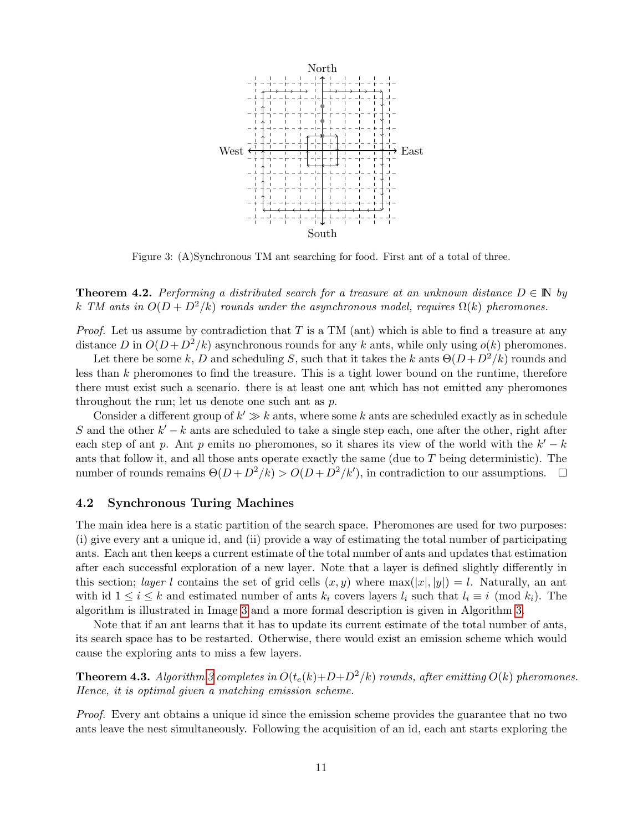<span id="page-10-0"></span>

Figure 3: (A)Synchronous TM ant searching for food. First ant of a total of three.

**Theorem 4.2.** Performing a distributed search for a treasure at an unknown distance  $D \in \mathbb{N}$  by k TM ants in  $O(D + D^2/k)$  rounds under the asynchronous model, requires  $\Omega(k)$  pheromones.

*Proof.* Let us assume by contradiction that T is a TM (ant) which is able to find a treasure at any distance D in  $O(D + D^2/k)$  asynchronous rounds for any k ants, while only using  $o(k)$  pheromones.

Let there be some k, D and scheduling S, such that it takes the k ants  $\Theta(D+D^2/k)$  rounds and less than k pheromones to find the treasure. This is a tight lower bound on the runtime, therefore there must exist such a scenario. there is at least one ant which has not emitted any pheromones throughout the run; let us denote one such ant as p.

Consider a different group of  $k' \gg k$  ants, where some k ants are scheduled exactly as in schedule S and the other  $k'-k$  ants are scheduled to take a single step each, one after the other, right after each step of ant p. Ant p emits no pheromones, so it shares its view of the world with the  $k'-k$ ants that follow it, and all those ants operate exactly the same (due to T being deterministic). The number of rounds remains  $\Theta(D + D^2/k) > O(D + D^2/k')$ , in contradiction to our assumptions.

## 4.2 Synchronous Turing Machines

The main idea here is a static partition of the search space. Pheromones are used for two purposes: (i) give every ant a unique id, and (ii) provide a way of estimating the total number of participating ants. Each ant then keeps a current estimate of the total number of ants and updates that estimation after each successful exploration of a new layer. Note that a layer is defined slightly differently in this section; *layer l* contains the set of grid cells  $(x, y)$  where  $\max(|x|, |y|) = l$ . Naturally, an ant with id  $1 \le i \le k$  and estimated number of ants  $k_i$  covers layers  $l_i$  such that  $l_i \equiv i \pmod{k_i}$ . The algorithm is illustrated in Image [3](#page-10-0) and a more formal description is given in Algorithm [3.](#page-11-0)

Note that if an ant learns that it has to update its current estimate of the total number of ants, its search space has to be restarted. Otherwise, there would exist an emission scheme which would cause the exploring ants to miss a few layers.

<span id="page-10-1"></span>**Theorem 4.3.** Algorithm [3](#page-11-0) completes in  $O(t_e(k)+D+D^2/k)$  rounds, after emitting  $O(k)$  pheromones. Hence, it is optimal given a matching emission scheme.

Proof. Every ant obtains a unique id since the emission scheme provides the guarantee that no two ants leave the nest simultaneously. Following the acquisition of an id, each ant starts exploring the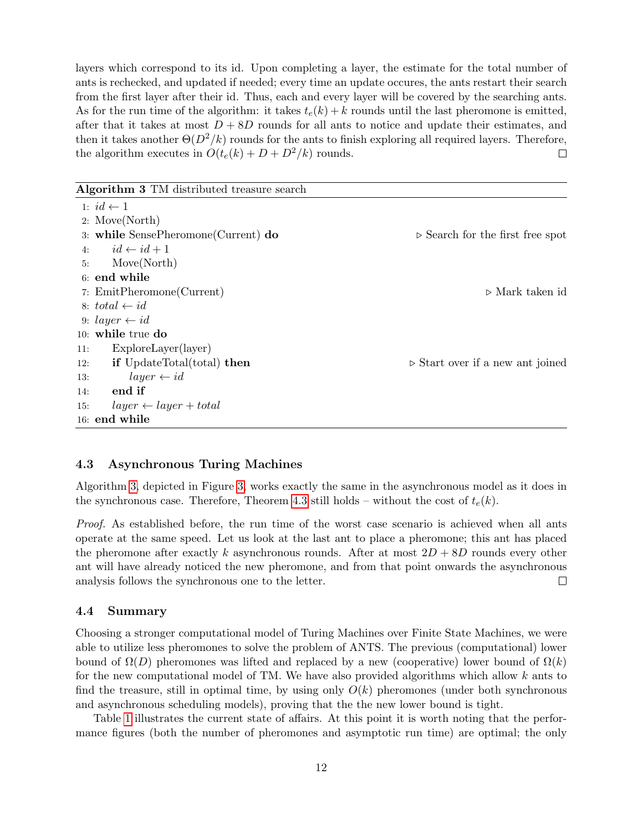layers which correspond to its id. Upon completing a layer, the estimate for the total number of ants is rechecked, and updated if needed; every time an update occures, the ants restart their search from the first layer after their id. Thus, each and every layer will be covered by the searching ants. As for the run time of the algorithm: it takes  $t_e(k) + k$  rounds until the last pheromone is emitted, after that it takes at most  $D + 8D$  rounds for all ants to notice and update their estimates, and then it takes another  $\Theta(D^2/k)$  rounds for the ants to finish exploring all required layers. Therefore, the algorithm executes in  $O(t_e(k) + D + D^2/k)$  rounds.  $\Box$ 

<span id="page-11-0"></span>Algorithm 3 TM distributed treasure search

|     | 1: $id \leftarrow 1$                     |                                                 |
|-----|------------------------------------------|-------------------------------------------------|
|     | 2: Move(North)                           |                                                 |
|     | 3: while SensePheromone(Current) do      | $\triangleright$ Search for the first free spot |
| 4:  | $id \leftarrow id + 1$                   |                                                 |
| 5:  | Move(North)                              |                                                 |
|     | 6: end while                             |                                                 |
|     | 7: EmitPheromone(Current)                | $\triangleright$ Mark taken id                  |
|     | 8: $total \leftarrow id$                 |                                                 |
|     | 9: $layer \leftarrow id$                 |                                                 |
|     | $10:$ while true do                      |                                                 |
| 11: | $ExploreLayer$ (layer)                   |                                                 |
| 12: | <b>if</b> UpdateTotal(total) <b>then</b> | $\triangleright$ Start over if a new ant joined |
| 13: | $layer \leftarrow id$                    |                                                 |
| 14: | end if                                   |                                                 |
| 15: | $layer \leftarrow layer + total$         |                                                 |
|     | $16:$ $\,$ end $\,$ while                |                                                 |
|     |                                          |                                                 |

# 4.3 Asynchronous Turing Machines

Algorithm [3,](#page-11-0) depicted in Figure [3,](#page-10-0) works exactly the same in the asynchronous model as it does in the synchronous case. Therefore, Theorem [4.3](#page-10-1) still holds – without the cost of  $t_e(k)$ .

Proof. As established before, the run time of the worst case scenario is achieved when all ants operate at the same speed. Let us look at the last ant to place a pheromone; this ant has placed the pheromone after exactly k asynchronous rounds. After at most  $2D + 8D$  rounds every other ant will have already noticed the new pheromone, and from that point onwards the asynchronous analysis follows the synchronous one to the letter.  $\Box$ 

## 4.4 Summary

Choosing a stronger computational model of Turing Machines over Finite State Machines, we were able to utilize less pheromones to solve the problem of ANTS. The previous (computational) lower bound of  $\Omega(D)$  pheromones was lifted and replaced by a new (cooperative) lower bound of  $\Omega(k)$ for the new computational model of TM. We have also provided algorithms which allow k ants to find the treasure, still in optimal time, by using only  $O(k)$  pheromones (under both synchronous and asynchronous scheduling models), proving that the the new lower bound is tight.

Table [1](#page-12-1) illustrates the current state of affairs. At this point it is worth noting that the performance figures (both the number of pheromones and asymptotic run time) are optimal; the only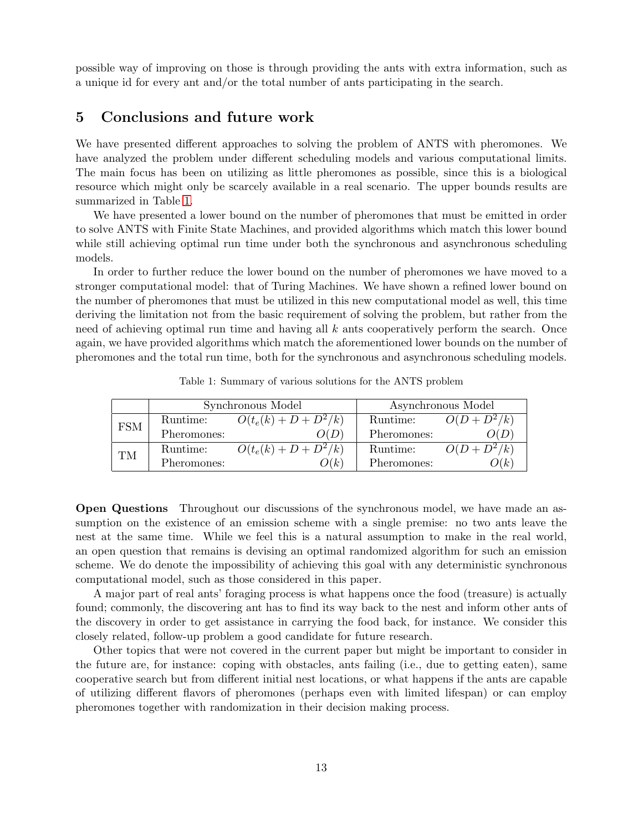possible way of improving on those is through providing the ants with extra information, such as a unique id for every ant and/or the total number of ants participating in the search.

# <span id="page-12-0"></span>5 Conclusions and future work

We have presented different approaches to solving the problem of ANTS with pheromones. We have analyzed the problem under different scheduling models and various computational limits. The main focus has been on utilizing as little pheromones as possible, since this is a biological resource which might only be scarcely available in a real scenario. The upper bounds results are summarized in Table [1.](#page-12-1)

We have presented a lower bound on the number of pheromones that must be emitted in order to solve ANTS with Finite State Machines, and provided algorithms which match this lower bound while still achieving optimal run time under both the synchronous and asynchronous scheduling models.

In order to further reduce the lower bound on the number of pheromones we have moved to a stronger computational model: that of Turing Machines. We have shown a refined lower bound on the number of pheromones that must be utilized in this new computational model as well, this time deriving the limitation not from the basic requirement of solving the problem, but rather from the need of achieving optimal run time and having all  $k$  ants cooperatively perform the search. Once again, we have provided algorithms which match the aforementioned lower bounds on the number of pheromones and the total run time, both for the synchronous and asynchronous scheduling models.

<span id="page-12-1"></span>

|            | Synchronous Model |                         | Asynchronous Model |                |
|------------|-------------------|-------------------------|--------------------|----------------|
| <b>FSM</b> | Runtime:          | $O(t_e(k) + D + D^2/k)$ | Runtime:           | $O(D + D^2/k)$ |
|            | Pheromones:       |                         | Pheromones:        |                |
| TМ         | Runtime:          | $O(t_e(k) + D + D^2/k)$ | Runtime:           | $O(D + D^2/k)$ |
|            | Pheromones:       | O(k)                    | Pheromones:        | Л К.           |

Table 1: Summary of various solutions for the ANTS problem

Open Questions Throughout our discussions of the synchronous model, we have made an assumption on the existence of an emission scheme with a single premise: no two ants leave the nest at the same time. While we feel this is a natural assumption to make in the real world, an open question that remains is devising an optimal randomized algorithm for such an emission scheme. We do denote the impossibility of achieving this goal with any deterministic synchronous computational model, such as those considered in this paper.

A major part of real ants' foraging process is what happens once the food (treasure) is actually found; commonly, the discovering ant has to find its way back to the nest and inform other ants of the discovery in order to get assistance in carrying the food back, for instance. We consider this closely related, follow-up problem a good candidate for future research.

Other topics that were not covered in the current paper but might be important to consider in the future are, for instance: coping with obstacles, ants failing (i.e., due to getting eaten), same cooperative search but from different initial nest locations, or what happens if the ants are capable of utilizing different flavors of pheromones (perhaps even with limited lifespan) or can employ pheromones together with randomization in their decision making process.